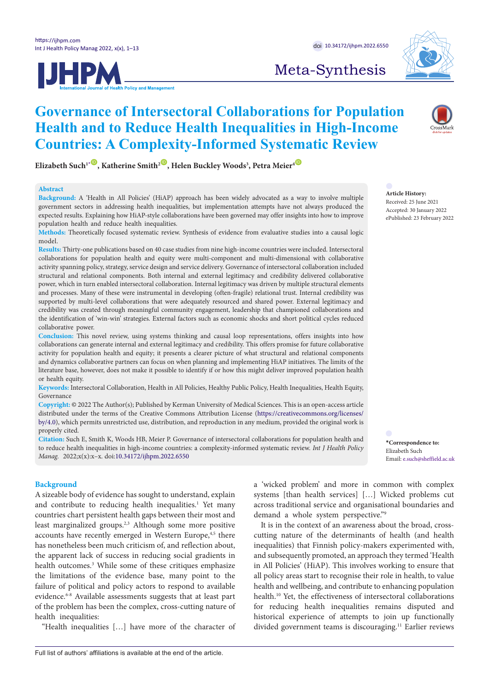



Meta-Synthesis

# **Governance of Intersectoral Collaborations for Population Health and to Reduce Health Inequalities in High-Income Countries: A Complexity-Informed Systematic Review**

 $\mathbf{E}$ lizabeth Such<sup>1•</sup>  $\mathbf{D}$ , Katherine Smith<sup>2</sup>  $\mathbf{D}$ , Helen Buckley Woods<sup>3</sup>, Petra Meier $^4$ 

# **Abstract**

**Background:** A 'Health in All Policies' (HiAP) approach has been widely advocated as a way to involve multiple government sectors in addressing health inequalities, but implementation attempts have not always produced the expected results. Explaining how HiAP-style collaborations have been governed may offer insights into how to improve population health and reduce health inequalities.

**Methods:** Theoretically focused systematic review. Synthesis of evidence from evaluative studies into a causal logic model.

**Results:** Thirty-one publications based on 40 case studies from nine high-income countries were included. Intersectoral collaborations for population health and equity were multi-component and multi-dimensional with collaborative activity spanning policy, strategy, service design and service delivery. Governance of intersectoral collaboration included structural and relational components. Both internal and external legitimacy and credibility delivered collaborative power, which in turn enabled intersectoral collaboration. Internal legitimacy was driven by multiple structural elements and processes. Many of these were instrumental in developing (often-fragile) relational trust. Internal credibility was supported by multi-level collaborations that were adequately resourced and shared power. External legitimacy and credibility was created through meaningful community engagement, leadership that championed collaborations and the identification of 'win-win' strategies. External factors such as economic shocks and short political cycles reduced collaborative power.

**Conclusion:** This novel review, using systems thinking and causal loop representations, offers insights into how collaborations can generate internal and external legitimacy and credibility. This offers promise for future collaborative activity for population health and equity; it presents a clearer picture of what structural and relational components and dynamics collaborative partners can focus on when planning and implementing HiAP initiatives. The limits of the literature base, however, does not make it possible to identify if or how this might deliver improved population health or health equity.

**Keywords:** Intersectoral Collaboration, Health in All Policies, Healthy Public Policy, Health Inequalities, Health Equity, Governance

**Copyright:** © 2022 The Author(s); Published by Kerman University of Medical Sciences. This is an open-access article distributed under the terms of the Creative Commons Attribution License [\(https://creativecommons.org/licenses/](https://creativecommons.org/licenses/by/4.0/) [by/4.0\)](https://creativecommons.org/licenses/by/4.0/), which permits unrestricted use, distribution, and reproduction in any medium, provided the original work is properly cited.

**Citation:** Such E, Smith K, Woods HB, Meier P. Governance of intersectoral collaborations for population health and to reduce health inequalities in high-income countries: a complexity-informed systematic review. *Int J Health Policy Manag.* 2022;x(x):x–x. doi[:10.34172/ijhpm.2022.6550](https://doi.org/10.34172/ijhpm.2022.6550)

# **Background**

A sizeable body of evidence has sought to understand, explain and contribute to reducing health inequalities.<sup>1</sup> Yet many countries chart persistent health gaps between their most and least marginalized groups.2,3 Although some more positive accounts have recently emerged in Western Europe,<sup>4,5</sup> there has nonetheless been much criticism of, and reflection about, the apparent lack of success in reducing social gradients in health outcomes.<sup>3</sup> While some of these critiques emphasize the limitations of the evidence base, many point to the failure of political and policy actors to respond to available evidence.<sup>6-8</sup> Available assessments suggests that at least part of the problem has been the complex, cross-cutting nature of health inequalities:

"Health inequalities […] have more of the character of

a 'wicked problem' and more in common with complex systems [than health services] […] Wicked problems cut across traditional service and organisational boundaries and demand a whole system perspective."9

It is in the context of an awareness about the broad, crosscutting nature of the determinants of health (and health inequalities) that Finnish policy-makers experimented with, and subsequently promoted, an approach they termed 'Health in All Policies' (HiAP). This involves working to ensure that all policy areas start to recognise their role in health, to value health and wellbeing, and contribute to enhancing population health.10 Yet, the effectiveness of intersectoral collaborations for reducing health inequalities remains disputed and historical experience of attempts to join up functionally divided government teams is discouraging.<sup>11</sup> Earlier reviews

**Article History:** Received: 25 June 2021 Accepted: 30 January 2022 ePublished: 23 February 2022

<span id="page-0-0"></span>**\*Correspondence to:** Elizabeth Such Email: e.such@sheffield.ac.uk

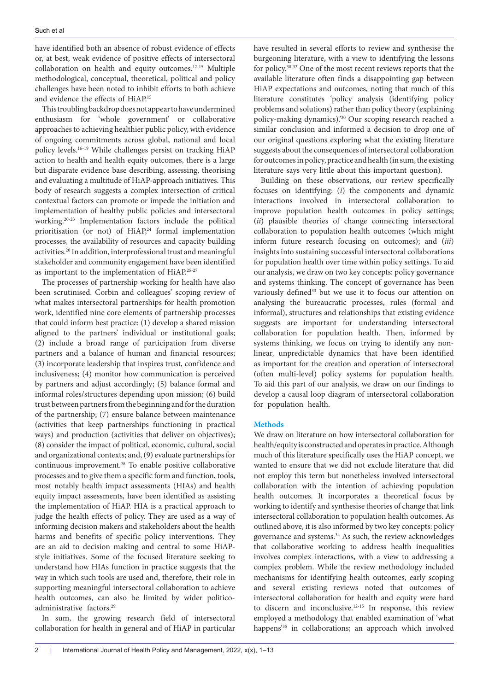have identified both an absence of robust evidence of effects or, at best, weak evidence of positive effects of intersectoral collaboration on health and equity outcomes.12-15 Multiple methodological, conceptual, theoretical, political and policy challenges have been noted to inhibit efforts to both achieve and evidence the effects of HiAP.15

This troubling backdrop does not appear to have undermined enthusiasm for 'whole government' or collaborative approaches to achieving healthier public policy, with evidence of ongoing commitments across global, national and local policy levels.16-19 While challenges persist on tracking HiAP action to health and health equity outcomes, there is a large but disparate evidence base describing, assessing, theorising and evaluating a multitude of HiAP-approach initiatives. This body of research suggests a complex intersection of critical contextual factors can promote or impede the initiation and implementation of healthy public policies and intersectoral working.20-23 Implementation factors include the political prioritisation (or not) of HiAP,<sup>24</sup> formal implementation processes, the availability of resources and capacity building activities.20 In addition, interprofessional trust and meaningful stakeholder and community engagement have been identified as important to the implementation of HiAP.25-27

The processes of partnership working for health have also been scrutinised. Corbin and colleagues' scoping review of what makes intersectoral partnerships for health promotion work, identified nine core elements of partnership processes that could inform best practice: (1) develop a shared mission aligned to the partners' individual or institutional goals; (2) include a broad range of participation from diverse partners and a balance of human and financial resources; (3) incorporate leadership that inspires trust, confidence and inclusiveness; (4) monitor how communication is perceived by partners and adjust accordingly; (5) balance formal and informal roles/structures depending upon mission; (6) build trust between partners from the beginning and for the duration of the partnership; (7) ensure balance between maintenance (activities that keep partnerships functioning in practical ways) and production (activities that deliver on objectives); (8) consider the impact of political, economic, cultural, social and organizational contexts; and, (9) evaluate partnerships for continuous improvement.28 To enable positive collaborative processes and to give them a specific form and function, tools, most notably health impact assessments (HIAs) and health equity impact assessments, have been identified as assisting the implementation of HiAP. HIA is a practical approach to judge the health effects of policy. They are used as a way of informing decision makers and stakeholders about the health harms and benefits of specific policy interventions. They are an aid to decision making and central to some HiAPstyle initiatives. Some of the focused literature seeking to understand how HIAs function in practice suggests that the way in which such tools are used and, therefore, their role in supporting meaningful intersectoral collaboration to achieve health outcomes, can also be limited by wider politicoadministrative factors.<sup>29</sup>

In sum, the growing research field of intersectoral collaboration for health in general and of HiAP in particular

have resulted in several efforts to review and synthesise the burgeoning literature, with a view to identifying the lessons for policy.30-32 One of the most recent reviews reports that the available literature often finds a disappointing gap between HiAP expectations and outcomes, noting that much of this literature constitutes 'policy analysis (identifying policy problems and solutions) rather than policy theory (explaining policy-making dynamics).'30 Our scoping research reached a similar conclusion and informed a decision to drop one of our original questions exploring what the existing literature suggests about the consequences of intersectoral collaboration for outcomes in policy, practice and health (in sum, the existing literature says very little about this important question).

Building on these observations, our review specifically focuses on identifying: (*i*) the components and dynamic interactions involved in intersectoral collaboration to improve population health outcomes in policy settings; (*ii*) plausible theories of change connecting intersectoral collaboration to population health outcomes (which might inform future research focusing on outcomes); and (*iii*) insights into sustaining successful intersectoral collaborations for population health over time within policy settings. To aid our analysis, we draw on two key concepts: policy governance and systems thinking. The concept of governance has been variously defined<sup>33</sup> but we use it to focus our attention on analysing the bureaucratic processes, rules (formal and informal), structures and relationships that existing evidence suggests are important for understanding intersectoral collaboration for population health. Then, informed by systems thinking, we focus on trying to identify any nonlinear, unpredictable dynamics that have been identified as important for the creation and operation of intersectoral (often multi-level) policy systems for population health. To aid this part of our analysis, we draw on our findings to develop a causal loop diagram of intersectoral collaboration for population health.

#### **Methods**

We draw on literature on how intersectoral collaboration for health/equity is constructed and operates in practice. Although much of this literature specifically uses the HiAP concept, we wanted to ensure that we did not exclude literature that did not employ this term but nonetheless involved intersectoral collaboration with the intention of achieving population health outcomes. It incorporates a theoretical focus by working to identify and synthesise theories of change that link intersectoral collaboration to population health outcomes. As outlined above, it is also informed by two key concepts: policy governance and systems.34 As such, the review acknowledges that collaborative working to address health inequalities involves complex interactions, with a view to addressing a complex problem. While the review methodology included mechanisms for identifying health outcomes, early scoping and several existing reviews noted that outcomes of intersectoral collaboration for health and equity were hard to discern and inconclusive.12-15 In response, this review employed a methodology that enabled examination of 'what happens<sup>'35</sup> in collaborations; an approach which involved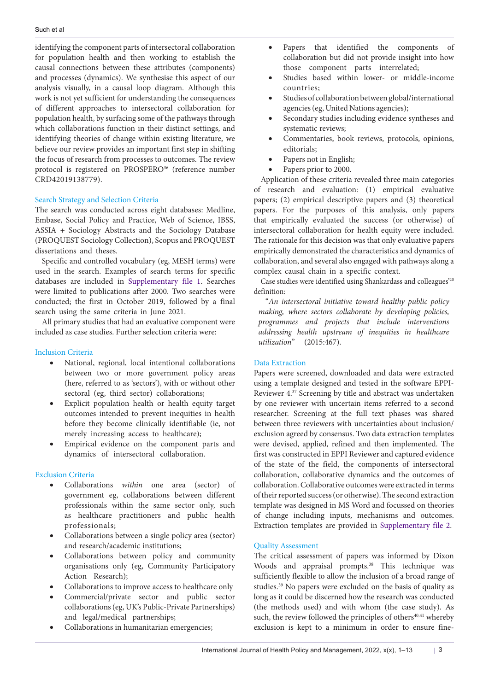identifying the component parts of intersectoral collaboration for population health and then working to establish the causal connections between these attributes (components) and processes (dynamics). We synthesise this aspect of our analysis visually, in a causal loop diagram. Although this work is not yet sufficient for understanding the consequences of different approaches to intersectoral collaboration for population health, by surfacing some of the pathways through which collaborations function in their distinct settings, and identifying theories of change within existing literature, we believe our review provides an important first step in shifting the focus of research from processes to outcomes. The review protocol is registered on PROSPERO<sup>36</sup> (reference number CRD42019138779).

# Search Strategy and Selection Criteria

The search was conducted across eight databases: Medline, Embase, Social Policy and Practice, Web of Science, IBSS, ASSIA + Sociology Abstracts and the Sociology Database (PROQUEST Sociology Collection), Scopus and PROQUEST dissertations and theses.

Specific and controlled vocabulary (eg, MESH terms) were used in the search. Examples of search terms for specific databases are included in [Supplementary file 1](#page-10-0). Searches were limited to publications after 2000. Two searches were conducted; the first in October 2019, followed by a final search using the same criteria in June 2021.

All primary studies that had an evaluative component were included as case studies. Further selection criteria were:

# Inclusion Criteria

- National, regional, local intentional collaborations between two or more government policy areas (here, referred to as 'sectors'), with or without other sectoral (eg, third sector) collaborations;
- Explicit population health or health equity target outcomes intended to prevent inequities in health before they become clinically identifiable (ie, not merely increasing access to healthcare);
- Empirical evidence on the component parts and dynamics of intersectoral collaboration.

# Exclusion Criteria

- Collaborations *within* one area (sector) of government eg, collaborations between different professionals within the same sector only, such as healthcare practitioners and public health professionals;
- Collaborations between a single policy area (sector) and research/academic institutions;
- Collaborations between policy and community organisations only (eg, Community Participatory Action Research);
- Collaborations to improve access to healthcare only
- Commercial/private sector and public sector collaborations (eg, UK's Public-Private Partnerships) and legal/medical partnerships;
- Collaborations in humanitarian emergencies;
- • Papers that identified the components of collaboration but did not provide insight into how those component parts interrelated;
- Studies based within lower- or middle-income countries;
- Studies of collaboration between global/international agencies (eg, United Nations agencies);
- • Secondary studies including evidence syntheses and systematic reviews;
- Commentaries, book reviews, protocols, opinions, editorials;
- Papers not in English;
- Papers prior to 2000.

Application of these criteria revealed three main categories of research and evaluation: (1) empirical evaluative papers; (2) empirical descriptive papers and (3) theoretical papers. For the purposes of this analysis, only papers that empirically evaluated the success (or otherwise) of intersectoral collaboration for health equity were included. The rationale for this decision was that only evaluative papers empirically demonstrated the characteristics and dynamics of collaboration, and several also engaged with pathways along a complex causal chain in a specific context.

Case studies were identified using Shankardass and colleagues'20 definition:

"*An intersectoral initiative toward healthy public policy making, where sectors collaborate by developing policies, programmes and projects that include interventions addressing health upstream of inequities in healthcare utilization*" (2015:467).

# Data Extraction

Papers were screened, downloaded and data were extracted using a template designed and tested in the software EPPI-Reviewer  $4.\overline{37}$  Screening by title and abstract was undertaken by one reviewer with uncertain items referred to a second researcher. Screening at the full text phases was shared between three reviewers with uncertainties about inclusion/ exclusion agreed by consensus. Two data extraction templates were devised, applied, refined and then implemented. The first was constructed in EPPI Reviewer and captured evidence of the state of the field, the components of intersectoral collaboration, collaborative dynamics and the outcomes of collaboration. Collaborative outcomes were extracted in terms of their reported success (or otherwise). The second extraction template was designed in MS Word and focussed on theories of change including inputs, mechanisms and outcomes. Extraction templates are provided in [Supplementary file 2](#page-10-1).

# Quality Assessment

The critical assessment of papers was informed by Dixon Woods and appraisal prompts.<sup>38</sup> This technique was sufficiently flexible to allow the inclusion of a broad range of studies.39 No papers were excluded on the basis of quality as long as it could be discerned how the research was conducted (the methods used) and with whom (the case study). As such, the review followed the principles of others<sup>40,41</sup> whereby exclusion is kept to a minimum in order to ensure fine-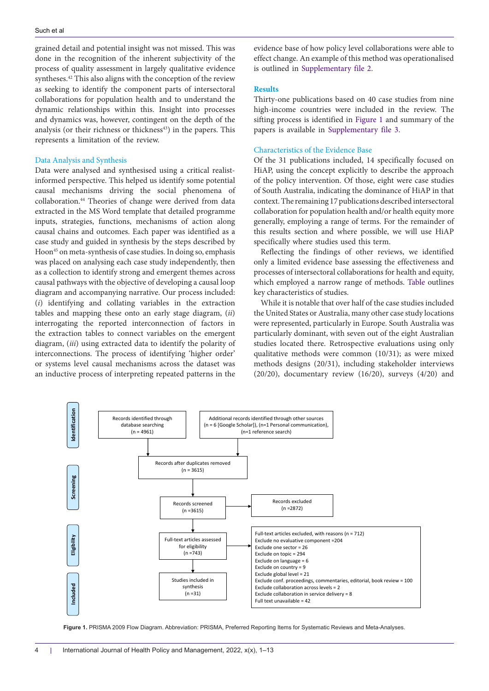grained detail and potential insight was not missed. This was done in the recognition of the inherent subjectivity of the process of quality assessment in largely qualitative evidence syntheses.<sup>42</sup> This also aligns with the conception of the review as seeking to identify the component parts of intersectoral collaborations for population health and to understand the dynamic relationships within this. Insight into processes and dynamics was, however, contingent on the depth of the analysis (or their richness or thickness<sup>43</sup>) in the papers. This represents a limitation of the review.

#### Data Analysis and Synthesis

Data were analysed and synthesised using a critical realistinformed perspective. This helped us identify some potential causal mechanisms driving the social phenomena of collaboration.44 Theories of change were derived from data extracted in the MS Word template that detailed programme inputs, strategies, functions, mechanisms of action along causal chains and outcomes. Each paper was identified as a case study and guided in synthesis by the steps described by Hoon<sup>45</sup> on meta-synthesis of case studies. In doing so, emphasis was placed on analysing each case study independently, then as a collection to identify strong and emergent themes across causal pathways with the objective of developing a causal loop diagram and accompanying narrative. Our process included: (*i*) identifying and collating variables in the extraction tables and mapping these onto an early stage diagram, (*ii*) interrogating the reported interconnection of factors in the extraction tables to connect variables on the emergent diagram, (*iii*) using extracted data to identify the polarity of interconnections. The process of identifying 'higher order' or systems level causal mechanisms across the dataset was an inductive process of interpreting repeated patterns in the evidence base of how policy level collaborations were able to effect change. An example of this method was operationalised is outlined in [Supplementary file 2.](#page-10-1)

#### **Results**

Thirty-one publications based on 40 case studies from nine high-income countries were included in the review. The sifting process is identified in [Figure 1](#page-3-0) and summary of the papers is available in [Supplementary file 3](#page-10-2).

### Characteristics of the Evidence Base

Of the 31 publications included, 14 specifically focused on HiAP, using the concept explicitly to describe the approach of the policy intervention. Of those, eight were case studies of South Australia, indicating the dominance of HiAP in that context. The remaining 17 publications described intersectoral collaboration for population health and/or health equity more generally, employing a range of terms. For the remainder of this results section and where possible, we will use HiAP specifically where studies used this term.

Reflecting the findings of other reviews, we identified only a limited evidence base assessing the effectiveness and processes of intersectoral collaborations for health and equity, which employed a narrow range of methods. [Table](#page-4-0) outlines key characteristics of studies.

While it is notable that over half of the case studies included the United States or Australia, many other case study locations were represented, particularly in Europe. South Australia was particularly dominant, with seven out of the eight Australian studies located there. Retrospective evaluations using only qualitative methods were common (10/31); as were mixed methods designs (20/31), including stakeholder interviews (20/20), documentary review (16/20), surveys (4/20) and

<span id="page-3-0"></span>

**Figure 1.** PRISMA 2009 Flow Diagram. Abbreviation: PRISMA, Preferred Reporting Items for Systematic Reviews and Meta-Analyses.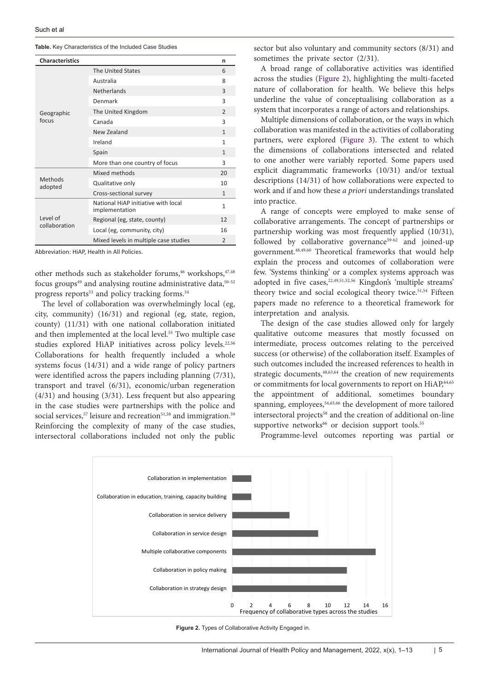<span id="page-4-0"></span>

| <b>Characteristics</b>    |                                                       | n              |
|---------------------------|-------------------------------------------------------|----------------|
| Geographic<br>focus       | The United States                                     | 6              |
|                           | Australia                                             | 8              |
|                           | <b>Netherlands</b>                                    | 3              |
|                           | Denmark                                               | 3              |
|                           | The United Kingdom                                    | $\mathcal{P}$  |
|                           | Canada                                                | 3              |
|                           | New Zealand                                           | $\mathbf{1}$   |
|                           | Ireland                                               | 1              |
|                           | Spain                                                 | $\mathbf{1}$   |
|                           | More than one country of focus                        | 3              |
| Methods<br>adopted        | Mixed methods                                         | 20             |
|                           | Qualitative only                                      | 10             |
|                           | Cross-sectional survey                                | $\mathbf{1}$   |
| Level of<br>collaboration | National HiAP initiative with local<br>implementation | 1              |
|                           | Regional (eg, state, county)                          | 12             |
|                           | Local (eg, community, city)                           | 16             |
|                           | Mixed levels in multiple case studies                 | $\overline{2}$ |

Abbreviation: HiAP, Health in All Policies.

other methods such as stakeholder forums,<sup>46</sup> workshops,<sup>47,48</sup> focus groups $49$  and analysing routine administrative data, $50-52$ progress reports<sup>53</sup> and policy tracking forms.<sup>54</sup>

The level of collaboration was overwhelmingly local (eg, city, community) (16/31) and regional (eg, state, region, county) (11/31) with one national collaboration initiated and then implemented at the local level.55 Two multiple case studies explored HiAP initiatives across policy levels.<sup>22,56</sup> Collaborations for health frequently included a whole systems focus (14/31) and a wide range of policy partners were identified across the papers including planning (7/31), transport and travel (6/31), economic/urban regeneration (4/31) and housing (3/31). Less frequent but also appearing in the case studies were partnerships with the police and social services,<sup>57</sup> leisure and recreation<sup>51,58</sup> and immigration.<sup>59</sup> Reinforcing the complexity of many of the case studies, intersectoral collaborations included not only the public

sector but also voluntary and community sectors (8/31) and sometimes the private sector (2/31).

A broad range of collaborative activities was identified across the studies ([Figure 2\)](#page-4-1), highlighting the multi-faceted nature of collaboration for health. We believe this helps underline the value of conceptualising collaboration as a system that incorporates a range of actors and relationships.

Multiple dimensions of collaboration, or the ways in which collaboration was manifested in the activities of collaborating partners, were explored ([Figure 3](#page-5-0)). The extent to which the dimensions of collaborations intersected and related to one another were variably reported. Some papers used explicit diagrammatic frameworks (10/31) and/or textual descriptions (14/31) of how collaborations were expected to work and if and how these *a priori* understandings translated into practice.

A range of concepts were employed to make sense of collaborative arrangements. The concept of partnerships or partnership working was most frequently applied (10/31), followed by collaborative governance<sup>59-62</sup> and joined-up government.48,49,60 Theoretical frameworks that would help explain the process and outcomes of collaboration were few. 'Systems thinking' or a complex systems approach was adopted in five cases,<sup>22,49,51,52,56</sup> Kingdon's 'multiple streams' theory twice and social ecological theory twice.<sup>51,54</sup> Fifteen papers made no reference to a theoretical framework for interpretation and analysis.

The design of the case studies allowed only for largely qualitative outcome measures that mostly focussed on intermediate, process outcomes relating to the perceived success (or otherwise) of the collaboration itself. Examples of such outcomes included the increased references to health in strategic documents,<sup>48,63,64</sup> the creation of new requirements or commitments for local governments to report on HiAP,<sup>64,65</sup> the appointment of additional, sometimes boundary spanning, employees,<sup>54,63,66</sup> the development of more tailored intersectoral projects<sup>58</sup> and the creation of additional on-line supportive networks<sup>66</sup> or decision support tools.<sup>55</sup>

<span id="page-4-1"></span>Programme-level outcomes reporting was partial or



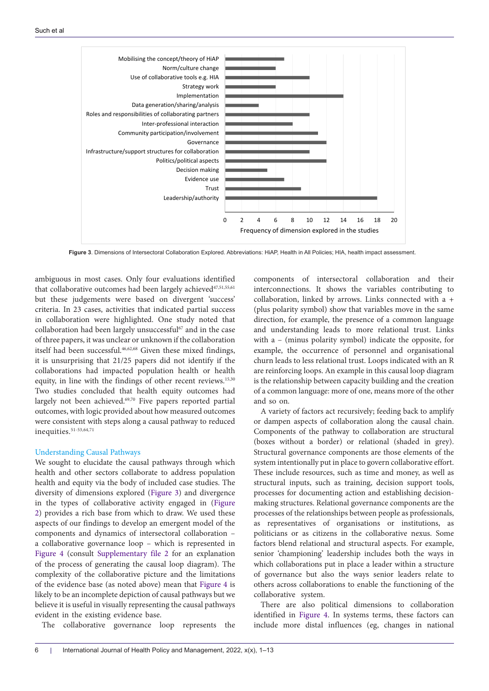<span id="page-5-0"></span>

**Figure 3**. Dimensions of Intersectoral Collaboration Explored. Abbreviations: HiAP, Health in All Policies; HIA, health impact assessment.

ambiguous in most cases. Only four evaluations identified that collaborative outcomes had been largely achieved<sup>47,51,55,61</sup> but these judgements were based on divergent 'success' criteria. In 23 cases, activities that indicated partial success in collaboration were highlighted. One study noted that collaboration had been largely unsuccessful $67$  and in the case of three papers, it was unclear or unknown if the collaboration itself had been successful.46,62,68 Given these mixed findings, it is unsurprising that 21/25 papers did not identify if the collaborations had impacted population health or health equity, in line with the findings of other recent reviews.<sup>15,30</sup> Two studies concluded that health equity outcomes had largely not been achieved.69,70 Five papers reported partial outcomes, with logic provided about how measured outcomes were consistent with steps along a causal pathway to reduced inequities.<sup>51-53,64,71</sup>

#### Understanding Causal Pathways

We sought to elucidate the causal pathways through which health and other sectors collaborate to address population health and equity via the body of included case studies. The diversity of dimensions explored [\(Figure 3\)](#page-5-0) and divergence in the types of collaborative activity engaged in ([Figure](#page-4-1) [2](#page-4-1)) provides a rich base from which to draw. We used these aspects of our findings to develop an emergent model of the components and dynamics of intersectoral collaboration – a collaborative governance loop – which is represented in [Figure 4](#page-6-0) (consult [Supplementary file 2](#page-10-1) for an explanation of the process of generating the causal loop diagram). The complexity of the collaborative picture and the limitations of the evidence base (as noted above) mean that [Figure 4](#page-6-0) is likely to be an incomplete depiction of causal pathways but we believe it is useful in visually representing the causal pathways evident in the existing evidence base.

The collaborative governance loop represents the

components of intersectoral collaboration and their interconnections. It shows the variables contributing to collaboration, linked by arrows. Links connected with a + (plus polarity symbol) show that variables move in the same direction, for example, the presence of a common language and understanding leads to more relational trust. Links with a – (minus polarity symbol) indicate the opposite, for example, the occurrence of personnel and organisational churn leads to less relational trust. Loops indicated with an R are reinforcing loops. An example in this causal loop diagram is the relationship between capacity building and the creation of a common language: more of one, means more of the other and so on.

A variety of factors act recursively; feeding back to amplify or dampen aspects of collaboration along the causal chain. Components of the pathway to collaboration are structural (boxes without a border) or relational (shaded in grey). Structural governance components are those elements of the system intentionally put in place to govern collaborative effort. These include resources, such as time and money, as well as structural inputs, such as training, decision support tools, processes for documenting action and establishing decisionmaking structures. Relational governance components are the processes of the relationships between people as professionals, as representatives of organisations or institutions, as politicians or as citizens in the collaborative nexus. Some factors blend relational and structural aspects. For example, senior 'championing' leadership includes both the ways in which collaborations put in place a leader within a structure of governance but also the ways senior leaders relate to others across collaborations to enable the functioning of the collaborative system.

There are also political dimensions to collaboration identified in [Figure 4.](#page-6-0) In systems terms, these factors can include more distal influences (eg, changes in national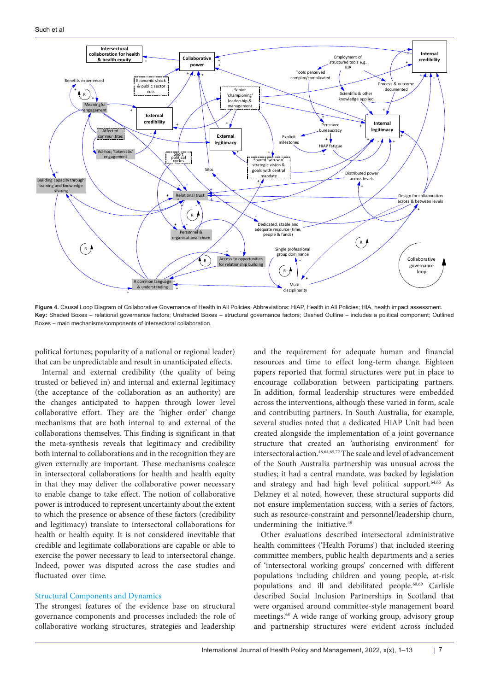<span id="page-6-0"></span>

Figure 4. Causal Loop Diagram of Collaborative Governance of Health in All Policies. Abbreviations: HiAP, Health in All Policies; HIA, health impact assessment. **Key:** Shaded Boxes – relational governance factors; Unshaded Boxes – structural governance factors; Dashed Outline – includes a political component; Outlined Boxes – main mechanisms/components of intersectoral collaboration.

political fortunes; popularity of a national or regional leader) that can be unpredictable and result in unanticipated effects.

Internal and external credibility (the quality of being trusted or believed in) and internal and external legitimacy (the acceptance of the collaboration as an authority) are the changes anticipated to happen through lower level collaborative effort. They are the 'higher order' change mechanisms that are both internal to and external of the collaborations themselves. This finding is significant in that the meta-synthesis reveals that legitimacy and credibility both internal to collaborations and in the recognition they are given externally are important. These mechanisms coalesce in intersectoral collaborations for health and health equity in that they may deliver the collaborative power necessary to enable change to take effect. The notion of collaborative power is introduced to represent uncertainty about the extent to which the presence or absence of these factors (credibility and legitimacy) translate to intersectoral collaborations for health or health equity. It is not considered inevitable that credible and legitimate collaborations are capable or able to exercise the power necessary to lead to intersectoral change. Indeed, power was disputed across the case studies and fluctuated over time.

#### Structural Components and Dynamics

The strongest features of the evidence base on structural governance components and processes included: the role of collaborative working structures, strategies and leadership

and the requirement for adequate human and financial resources and time to effect long-term change. Eighteen papers reported that formal structures were put in place to encourage collaboration between participating partners. In addition, formal leadership structures were embedded across the interventions, although these varied in form, scale and contributing partners. In South Australia, for example, several studies noted that a dedicated HiAP Unit had been created alongside the implementation of a joint governance structure that created an 'authorising environment' for intersectoral action.48,64,65,72 The scale and level of advancement of the South Australia partnership was unusual across the studies; it had a central mandate, was backed by legislation and strategy and had high level political support.64,65 As Delaney et al noted, however, these structural supports did not ensure implementation success, with a series of factors, such as resource-constraint and personnel/leadership churn, undermining the initiative.<sup>48</sup>

Other evaluations described intersectoral administrative health committees ('Health Forums') that included steering committee members, public health departments and a series of 'intersectoral working groups' concerned with different populations including children and young people, at-risk populations and ill and debilitated people.60,69 Carlisle described Social Inclusion Partnerships in Scotland that were organised around committee-style management board meetings.<sup>68</sup> A wide range of working group, advisory group and partnership structures were evident across included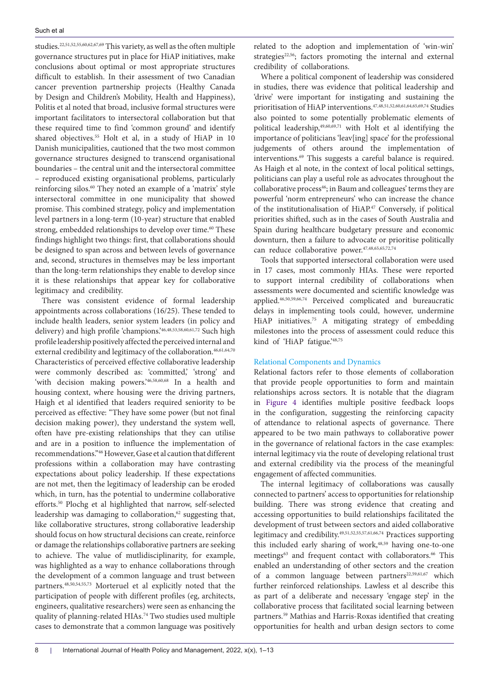studies.22,51,52,55,60,62,67,69 This variety, as well as the often multiple governance structures put in place for HiAP initiatives, make conclusions about optimal or most appropriate structures difficult to establish. In their assessment of two Canadian cancer prevention partnership projects (Healthy Canada by Design and Children's Mobility, Health and Happiness), Politis et al noted that broad, inclusive formal structures were important facilitators to intersectoral collaboration but that these required time to find 'common ground' and identify shared objectives.<sup>55</sup> Holt et al, in a study of HiAP in 10 Danish municipalities, cautioned that the two most common governance structures designed to transcend organisational boundaries – the central unit and the intersectoral committee – reproduced existing organisational problems, particularly reinforcing silos.<sup>60</sup> They noted an example of a 'matrix' style intersectoral committee in one municipality that showed promise. This combined strategy, policy and implementation level partners in a long-term (10-year) structure that enabled strong, embedded relationships to develop over time.<sup>60</sup> These findings highlight two things: first, that collaborations should be designed to span across and between levels of governance and, second, structures in themselves may be less important than the long-term relationships they enable to develop since it is these relationships that appear key for collaborative legitimacy and credibility.

There was consistent evidence of formal leadership appointments across collaborations (16/25). These tended to include health leaders, senior system leaders (in policy and delivery) and high profile 'champions.'46,48,53,58,60,61,72 Such high profile leadership positively affected the perceived internal and external credibility and legitimacy of the collaboration.<sup>46,61,64,70</sup> Characteristics of perceived effective collaborative leadership were commonly described as: 'committed,' 'strong' and 'with decision making powers.'46,58,60,68 In a health and housing context, where housing were the driving partners, Haigh et al identified that leaders required seniority to be perceived as effective: "They have some power (but not final decision making power), they understand the system well, often have pre-existing relationships that they can utilise and are in a position to influence the implementation of recommendations."46 However, Gase et al caution that different professions within a collaboration may have contrasting expectations about policy leadership. If these expectations are not met, then the legitimacy of leadership can be eroded which, in turn, has the potential to undermine collaborative efforts.50 Plochg et al highlighted that narrow, self-selected leadership was damaging to collaboration,<sup>62</sup> suggesting that, like collaborative structures, strong collaborative leadership should focus on how structural decisions can create, reinforce or damage the relationships collaborative partners are seeking to achieve. The value of mutlidisciplinarity, for example, was highlighted as a way to enhance collaborations through the development of a common language and trust between partners.48,50,54,55,73 Morteruel et al explicitly noted that the participation of people with different profiles (eg, architects, engineers, qualitative researchers) were seen as enhancing the quality of planning-related HIAs.<sup>74</sup> Two studies used multiple cases to demonstrate that a common language was positively related to the adoption and implementation of 'win-win' strategies<sup>22,56</sup>; factors promoting the internal and external credibility of collaborations.

Where a political component of leadership was considered in studies, there was evidence that political leadership and 'drive' were important for instigating and sustaining the prioritisation of HiAP interventions.47,48,51,52,60,61,64,65,69,74 Studies also pointed to some potentially problematic elements of political leadership,  $49,60,69,71$  with Holt et al identifying the importance of politicians 'leav[ing] space' for the professional judgements of others around the implementation of interventions.69 This suggests a careful balance is required. As Haigh et al note, in the context of local political settings, politicians can play a useful role as advocates throughout the collaborative process<sup>46</sup>; in Baum and colleagues' terms they are powerful 'norm entrepreneurs' who can increase the chance of the institutionalisation of HiAP.<sup>47</sup> Conversely, if political priorities shifted, such as in the cases of South Australia and Spain during healthcare budgetary pressure and economic downturn, then a failure to advocate or prioritise politically can reduce collaborative power.47,48,65,65,72,74

Tools that supported intersectoral collaboration were used in 17 cases, most commonly HIAs. These were reported to support internal credibility of collaborations when assessments were documented and scientific knowledge was applied.46,50,59,66,74 Perceived complicated and bureaucratic delays in implementing tools could, however, undermine HiAP initiatives.75 A mitigating strategy of embedding milestones into the process of assessment could reduce this kind of 'HiAP fatigue.'48,75

#### Relational Components and Dynamics

Relational factors refer to those elements of collaboration that provide people opportunities to form and maintain relationships across sectors. It is notable that the diagram in [Figure 4](#page-6-0) identifies multiple positive feedback loops in the configuration, suggesting the reinforcing capacity of attendance to relational aspects of governance. There appeared to be two main pathways to collaborative power in the governance of relational factors in the case examples: internal legitimacy via the route of developing relational trust and external credibility via the process of the meaningful engagement of affected communities.

The internal legitimacy of collaborations was causally connected to partners' access to opportunities for relationship building. There was strong evidence that creating and accessing opportunities to build relationships facilitated the development of trust between sectors and aided collaborative legitimacy and credibility.49,51,52,55,57,61,66,74 Practices supporting this included early sharing of work, $48,59$  having one-to-one meetings<sup>63</sup> and frequent contact with collaborators.<sup>66</sup> This enabled an understanding of other sectors and the creation of a common language between partners<sup>22,59,61,67</sup> which further reinforced relationships. Lawless et al describe this as part of a deliberate and necessary 'engage step' in the collaborative process that facilitated social learning between partners.59 Mathias and Harris-Roxas identified that creating opportunities for health and urban design sectors to come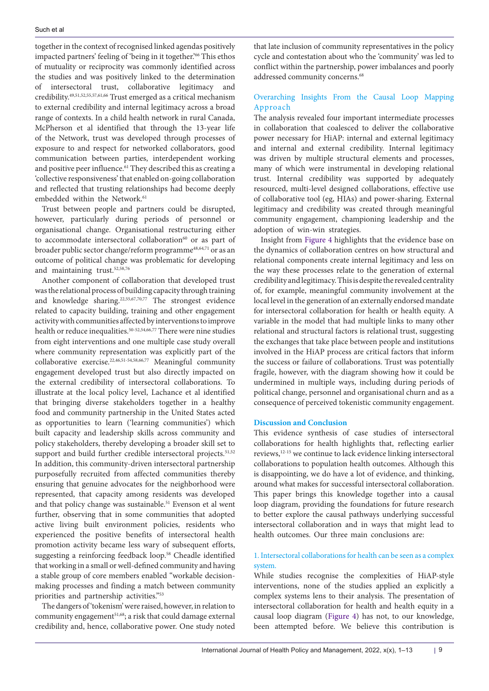together in the context of recognised linked agendas positively impacted partners' feeling of 'being in it together.'<sup>66</sup> This ethos of mutuality or reciprocity was commonly identified across the studies and was positively linked to the determination of intersectoral trust, collaborative legitimacy and credibility.49,51,52,55,57,61,66 Trust emerged as a critical mechanism to external credibility and internal legitimacy across a broad range of contexts. In a child health network in rural Canada, McPherson et al identified that through the 13-year life of the Network, trust was developed through processes of exposure to and respect for networked collaborators, good communication between parties, interdependent working and positive peer influence.<sup>61</sup> They described this as creating a 'collective responsiveness' that enabled on-going collaboration and reflected that trusting relationships had become deeply embedded within the Network.<sup>61</sup>

Trust between people and partners could be disrupted, however, particularly during periods of personnel or organisational change. Organisational restructuring either to accommodate intersectoral collaboration<sup>60</sup> or as part of broader public sector change/reform programme<sup>48,64,71</sup> or as an outcome of political change was problematic for developing and maintaining trust.<sup>52,58,76</sup>

Another component of collaboration that developed trust was the relational process of building capacity through training and knowledge sharing.22,55,67,70,77 The strongest evidence related to capacity building, training and other engagement activity with communities affected by interventions to improve health or reduce inequalities.<sup>50-52,54,66,77</sup> There were nine studies from eight interventions and one multiple case study overall where community representation was explicitly part of the collaborative exercise.22,46,51-54,58,66,77 Meaningful community engagement developed trust but also directly impacted on the external credibility of intersectoral collaborations. To illustrate at the local policy level, Lachance et al identified that bringing diverse stakeholders together in a healthy food and community partnership in the United States acted as opportunities to learn ('learning communities') which built capacity and leadership skills across community and policy stakeholders, thereby developing a broader skill set to support and build further credible intersectoral projects.<sup>51,52</sup> In addition, this community-driven intersectoral partnership purposefully recruited from affected communities thereby ensuring that genuine advocates for the neighborhood were represented, that capacity among residents was developed and that policy change was sustainable.<sup>51</sup> Evenson et al went further, observing that in some communities that adopted active living built environment policies, residents who experienced the positive benefits of intersectoral health promotion activity became less wary of subsequent efforts, suggesting a reinforcing feedback loop.<sup>58</sup> Cheadle identified that working in a small or well-defined community and having a stable group of core members enabled "workable decisionmaking processes and finding a match between community priorities and partnership activities."53

The dangers of 'tokenism' were raised, however, in relation to community engagement<sup>51,68</sup>; a risk that could damage external credibility and, hence, collaborative power. One study noted that late inclusion of community representatives in the policy cycle and contestation about who the 'community' was led to conflict within the partnership, power imbalances and poorly addressed community concerns.<sup>68</sup>

# Overarching Insights From the Causal Loop Mapping Approach

The analysis revealed four important intermediate processes in collaboration that coalesced to deliver the collaborative power necessary for HiAP: internal and external legitimacy and internal and external credibility. Internal legitimacy was driven by multiple structural elements and processes, many of which were instrumental in developing relational trust. Internal credibility was supported by adequately resourced, multi-level designed collaborations, effective use of collaborative tool (eg, HIAs) and power-sharing. External legitimacy and credibility was created through meaningful community engagement, championing leadership and the adoption of win-win strategies.

Insight from [Figure 4](#page-6-0) highlights that the evidence base on the dynamics of collaboration centres on how structural and relational components create internal legitimacy and less on the way these processes relate to the generation of external credibility and legitimacy. This is despite the revealed centrality of, for example, meaningful community involvement at the local level in the generation of an externally endorsed mandate for intersectoral collaboration for health or health equity. A variable in the model that had multiple links to many other relational and structural factors is relational trust, suggesting the exchanges that take place between people and institutions involved in the HiAP process are critical factors that inform the success or failure of collaborations. Trust was potentially fragile, however, with the diagram showing how it could be undermined in multiple ways, including during periods of political change, personnel and organisational churn and as a consequence of perceived tokenistic community engagement.

# **Discussion and Conclusion**

This evidence synthesis of case studies of intersectoral collaborations for health highlights that, reflecting earlier reviews,<sup>12-15</sup> we continue to lack evidence linking intersectoral collaborations to population health outcomes. Although this is disappointing, we do have a lot of evidence, and thinking, around what makes for successful intersectoral collaboration. This paper brings this knowledge together into a causal loop diagram, providing the foundations for future research to better explore the causal pathways underlying successful intersectoral collaboration and in ways that might lead to health outcomes. Our three main conclusions are:

# 1. Intersectoral collaborations for health can be seen as a complex system.

While studies recognise the complexities of HiAP-style interventions, none of the studies applied an explicitly a complex systems lens to their analysis. The presentation of intersectoral collaboration for health and health equity in a causal loop diagram [\(Figure 4\)](#page-6-0) has not, to our knowledge, been attempted before. We believe this contribution is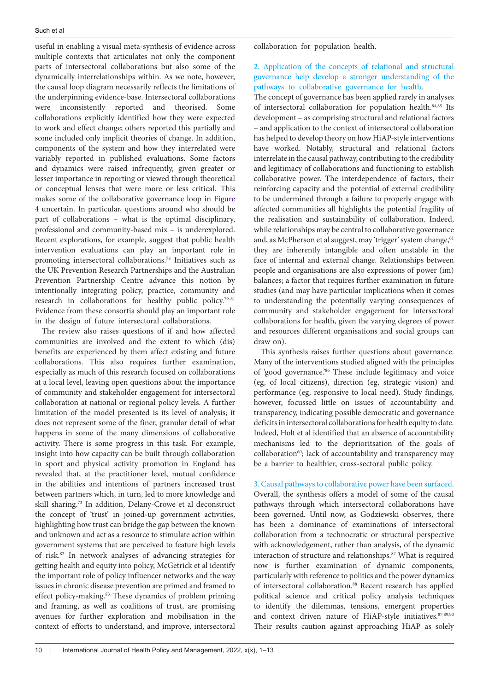useful in enabling a visual meta-synthesis of evidence across multiple contexts that articulates not only the component parts of intersectoral collaborations but also some of the dynamically interrelationships within. As we note, however, the causal loop diagram necessarily reflects the limitations of the underpinning evidence-base. Intersectoral collaborations were inconsistently reported and theorised. Some collaborations explicitly identified how they were expected to work and effect change; others reported this partially and some included only implicit theories of change. In addition, components of the system and how they interrelated were variably reported in published evaluations. Some factors and dynamics were raised infrequently, given greater or lesser importance in reporting or viewed through theoretical or conceptual lenses that were more or less critical. This makes some of the collaborative governance loop in [Figure](#page-6-0) [4](#page-6-0) uncertain. In particular, questions around who should be part of collaborations – what is the optimal disciplinary, professional and community-based mix – is underexplored. Recent explorations, for example, suggest that public health intervention evaluations can play an important role in promoting intersectoral collaborations.78 Initiatives such as the UK Prevention Research Partnerships and the Australian Prevention Partnership Centre advance this notion by intentionally integrating policy, practice, community and research in collaborations for healthy public policy.<sup>79-81</sup> Evidence from these consortia should play an important role in the design of future intersectoral collaborations.

The review also raises questions of if and how affected communities are involved and the extent to which (dis) benefits are experienced by them affect existing and future collaborations. This also requires further examination, especially as much of this research focused on collaborations at a local level, leaving open questions about the importance of community and stakeholder engagement for intersectoral collaboration at national or regional policy levels. A further limitation of the model presented is its level of analysis; it does not represent some of the finer, granular detail of what happens in some of the many dimensions of collaborative activity. There is some progress in this task. For example, insight into how capacity can be built through collaboration in sport and physical activity promotion in England has revealed that, at the practitioner level, mutual confidence in the abilities and intentions of partners increased trust between partners which, in turn, led to more knowledge and skill sharing.73 In addition, Delany-Crowe et al deconstruct the concept of 'trust' in joined-up government activities, highlighting how trust can bridge the gap between the known and unknown and act as a resource to stimulate action within government systems that are perceived to feature high levels of risk.82 In network analyses of advancing strategies for getting health and equity into policy, McGetrick et al identify the important role of policy influencer networks and the way issues in chronic disease prevention are primed and framed to effect policy-making.83 These dynamics of problem priming and framing, as well as coalitions of trust, are promising avenues for further exploration and mobilisation in the context of efforts to understand, and improve, intersectoral

collaboration for population health.

# 2. Application of the concepts of relational and structural governance help develop a stronger understanding of the pathways to collaborative governance for health.

The concept of governance has been applied rarely in analyses of intersectoral collaboration for population health.84,85 Its development – as comprising structural and relational factors – and application to the context of intersectoral collaboration has helped to develop theory on how HiAP-style interventions have worked. Notably, structural and relational factors interrelate in the causal pathway, contributing to the credibility and legitimacy of collaborations and functioning to establish collaborative power. The interdependence of factors, their reinforcing capacity and the potential of external credibility to be undermined through a failure to properly engage with affected communities all highlights the potential fragility of the realisation and sustainability of collaboration. Indeed, while relationships may be central to collaborative governance and, as McPherson et al suggest, may 'trigger' system change, <sup>61</sup> they are inherently intangible and often unstable in the face of internal and external change. Relationships between people and organisations are also expressions of power (im) balances; a factor that requires further examination in future studies (and may have particular implications when it comes to understanding the potentially varying consequences of community and stakeholder engagement for intersectoral collaborations for health, given the varying degrees of power and resources different organisations and social groups can draw on).

This synthesis raises further questions about governance. Many of the interventions studied aligned with the principles of 'good governance.'86 These include legitimacy and voice (eg, of local citizens), direction (eg, strategic vision) and performance (eg, responsive to local need). Study findings, however, focussed little on issues of accountability and transparency, indicating possible democratic and governance deficits in intersectoral collaborations for health equity to date. Indeed, Holt et al identified that an absence of accountability mechanisms led to the deprioritsation of the goals of collaboration<sup>60</sup>; lack of accountability and transparency may be a barrier to healthier, cross-sectoral public policy.

# 3. Causal pathways to collaborative power have been surfaced. Overall, the synthesis offers a model of some of the causal pathways through which intersectoral collaborations have been governed. Until now, as Godziewski observes, there has been a dominance of examinations of intersectoral collaboration from a technocratic or structural perspective with acknowledgement, rather than analysis, of the dynamic interaction of structure and relationships.<sup>87</sup> What is required now is further examination of dynamic components, particularly with reference to politics and the power dynamics of intersectoral collaboration.<sup>88</sup> Recent research has applied political science and critical policy analysis techniques to identify the dilemmas, tensions, emergent properties and context driven nature of HiAP-style initiatives.<sup>87,89,90</sup> Their results caution against approaching HiAP as solely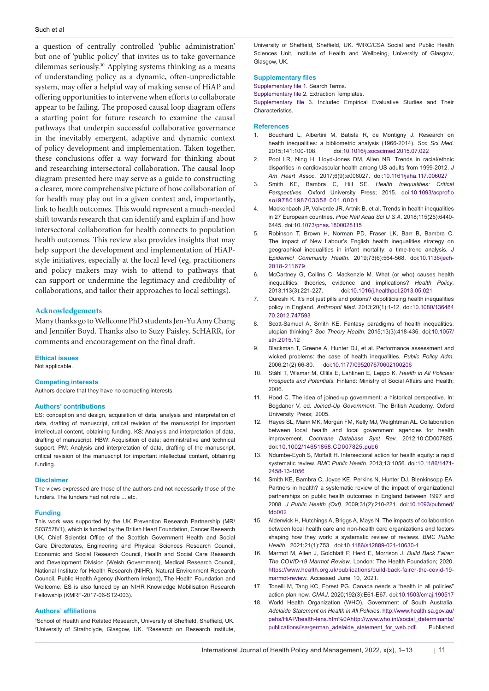a question of centrally controlled 'public administration' but one of 'public policy' that invites us to take governance dilemmas seriously.30 Applying systems thinking as a means of understanding policy as a dynamic, often-unpredictable system, may offer a helpful way of making sense of HiAP and offering opportunities to intervene when efforts to collaborate appear to be failing. The proposed causal loop diagram offers a starting point for future research to examine the causal pathways that underpin successful collaborative governance in the inevitably emergent, adaptive and dynamic context of policy development and implementation. Taken together, these conclusions offer a way forward for thinking about and researching intersectoral collaboration. The causal loop diagram presented here may serve as a guide to constructing a clearer, more comprehensive picture of how collaboration of for health may play out in a given context and, importantly, link to health outcomes. This would represent a much-needed shift towards research that can identify and explain if and how intersectoral collaboration for health connects to population health outcomes. This review also provides insights that may help support the development and implementation of HiAPstyle initiatives, especially at the local level (eg, practitioners and policy makers may wish to attend to pathways that can support or undermine the legitimacy and credibility of collaborations, and tailor their approaches to local settings).

#### **Acknowledgements**

Many thanks go to Wellcome PhD students Jen-Yu Amy Chang and Jennifer Boyd. Thanks also to Suzy Paisley, ScHARR, for comments and encouragement on the final draft.

#### **Ethical issues**

Not applicable.

#### **Competing interests**

Authors declare that they have no competing interests.

#### **Authors' contributions**

ES: conception and design, acquisition of data, analysis and interpretation of data, drafting of manuscript, critical revision of the manuscript for important intellectual content, obtaining funding. KS: Analysis and interpretation of data, drafting of manuscript. HBW: Acquisition of data; administrative and technical support. PM: Analysis and interpretation of data, drafting of the manuscript, critical revision of the manuscript for important intellectual content, obtaining funding.

#### **Disclaimer**

The views expressed are those of the authors and not necessarily those of the funders. The funders had not role ... etc.

#### **Funding**

This work was supported by the UK Prevention Research Partnership (MR/ S037578/1), which is funded by the British Heart Foundation, Cancer Research UK, Chief Scientist Office of the Scottish Government Health and Social Care Directorates, Engineering and Physical Sciences Research Council, Economic and Social Research Council, Health and Social Care Research and Development Division (Welsh Government), Medical Research Council, National Institute for Health Research (NIHR), Natural Environment Research Council, Public Health Agency (Northern Ireland), The Health Foundation and Wellcome. ES is also funded by an NIHR Knowledge Mobilisation Research Fellowship (KMRF-2017-06-ST2-003).

#### **Authors' affiliations**

1 School of Health and Related Research, University of Sheffield, Sheffield, UK. <sup>2</sup>University of Strathclyde, Glasgow, UK. <sup>3</sup>Research on Research Institute,

University of Sheffield, Sheffield, UK. 4 MRC/CSA Social and Public Health Sciences Unit, Institute of Health and Wellbeing, University of Glasgow, Glasgow, UK.

#### **Supplementary files**

<span id="page-10-0"></span>[Supplementary file 1.](https://www.ijhpm.com/jufile?ar_sfile=58306) Search Terms.

<span id="page-10-1"></span>[Supplementary file 2.](https://www.ijhpm.com/jufile?ar_sfile=58307) Extraction Templates.

<span id="page-10-2"></span>[Supplementary file 3.](https://www.ijhpm.com/jufile?ar_sfile=58308) Included Empirical Evaluative Studies and Their Characteristics.

#### **References**

- 1. Bouchard L, Albertini M, Batista R, de Montigny J. Research on health inequalities: a bibliometric analysis (1966-2014). *Soc Sci Med*. 2015;141:100-108. doi:[10.1016/j.socscimed.2015.07.022](https://doi.org/10.1016/j.socscimed.2015.07.022)
- 2. Pool LR, Ning H, Lloyd-Jones DM, Allen NB. Trends in racial/ethnic disparities in cardiovascular health among US adults from 1999-2012. *J Am Heart Assoc*. 2017;6(9):e006027. doi:[10.1161/jaha.117.006027](https://doi.org/10.1161/jaha.117.006027)
- 3. Smith KE, Bambra C, Hill SE. *Health Inequalities: Critical Perspectives.* Oxford University Press; 2015. doi[:10.1093/acprof:o](https://doi.org/10.1093/acprof:oso/9780198703358.001.0001) [so/9780198703358.001.0001](https://doi.org/10.1093/acprof:oso/9780198703358.001.0001)
- 4. Mackenbach JP, Valverde JR, Artnik B, et al. Trends in health inequalities in 27 European countries. *Proc Natl Acad Sci U S A*. 2018;115(25):6440- 6445. doi:[10.1073/pnas.1800028115](https://doi.org/10.1073/pnas.1800028115)
- 5. Robinson T, Brown H, Norman PD, Fraser LK, Barr B, Bambra C. The impact of New Labour's English health inequalities strategy on geographical inequalities in infant mortality: a time-trend analysis. *J Epidemiol Community Health*. 2019;73(6):564-568. doi:[10.1136/jech-](https://doi.org/10.1136/jech-2018-211679)[2018-211679](https://doi.org/10.1136/jech-2018-211679)
- 6. McCartney G, Collins C, Mackenzie M. What (or who) causes health inequalities: theories, evidence and implications? *Health Policy*. 2013;113(3):221-227. doi:[10.1016/j.healthpol.2013.05.021](https://doi.org/10.1016/j.healthpol.2013.05.021)
- 7. Qureshi K. It's not just pills and potions? depoliticising health inequalities policy in England. *Anthropol Med*. 2013;20(1):1-12. doi[:10.1080/136484](https://doi.org/10.1080/13648470.2012.747593) [70.2012.747593](https://doi.org/10.1080/13648470.2012.747593)
- 8. Scott-Samuel A, Smith KE. Fantasy paradigms of health inequalities: utopian thinking? *Soc Theory Health*. 2015;13(3):418-436. doi:[10.1057/](https://doi.org/10.1057/sth.2015.12) [sth.2015.12](https://doi.org/10.1057/sth.2015.12)
- 9. Blackman T, Greene A, Hunter DJ, et al. Performance assessment and wicked problems: the case of health inequalities. *Public Policy Adm*. 2006;21(2):66-80. doi:[10.1177/095207670602100206](https://doi.org/10.1177/095207670602100206)
- 10. Ståhl T, Wismar M, Ollila E, Lahtinen E, Leppo K. *Health in All Policies: Prospects and Potentials*. Finland: Ministry of Social Affairs and Health; 2006.
- 11. Hood C. The idea of joined-up government: a historical perspective. In: Bogdanor V, ed. *Joined-Up Government*. The British Academy, Oxford University Press; 2005.
- 12. Hayes SL, Mann MK, Morgan FM, Kelly MJ, Weightman AL. Collaboration between local health and local government agencies for health improvement. *Cochrane Database Syst Rev*. 2012;10:CD007825. doi:[10.1002/14651858.CD007825.pub6](https://doi.org/10.1002/14651858.CD007825.pub6)
- 13. Ndumbe-Eyoh S, Moffatt H. Intersectoral action for health equity: a rapid systematic review. *BMC Public Health*. 2013;13:1056. doi[:10.1186/1471-](https://doi.org/10.1186/1471-2458-13-1056) [2458-13-1056](https://doi.org/10.1186/1471-2458-13-1056)
- 14. Smith KE, Bambra C, Joyce KE, Perkins N, Hunter DJ, Blenkinsopp EA. Partners in health? a systematic review of the impact of organizational partnerships on public health outcomes in England between 1997 and 2008. *J Public Health (Oxf)*. 2009;31(2):210-221. doi[:10.1093/pubmed/](https://doi.org/10.1093/pubmed/fdp002) [fdp002](https://doi.org/10.1093/pubmed/fdp002)
- 15. Alderwick H, Hutchings A, Briggs A, Mays N. The impacts of collaboration between local health care and non-health care organizations and factors shaping how they work: a systematic review of reviews. *BMC Public Health*. 2021;21(1):753. doi[:10.1186/s12889-021-10630-1](https://doi.org/10.1186/s12889-021-10630-1)
- 16. Marmot M, Allen J, Goldblatt P, Herd E, Morrison J. *Build Back Fairer: The COVID-19 Marmot Review*. London: The Health Foundation; 2020. [https://www.health.org.uk/publications/build-back-fairer-the-covid-19](https://www.health.org.uk/publications/build-back-fairer-the-covid-19-marmot-review) [marmot-review.](https://www.health.org.uk/publications/build-back-fairer-the-covid-19-marmot-review) Accessed June 10, 2021.
- 17. Tonelli M, Tang KC, Forest PG. Canada needs a "health in all policies" action plan now. *CMAJ*. 2020;192(3):E61-E67. doi[:10.1503/cmaj.190517](https://doi.org/10.1503/cmaj.190517)
- 18. World Health Organization (WHO), Government of South Australia. *Adelaide Statement on Health in All Policies*. [http://www.health.sa.gov.au/](http://www.health.sa.gov.au/pehs/HiAP/health-lens.htm%0Ahttp://www.who.int/social_determinants/publications/isa/german_adelaide_statement_for_web.pdf) [pehs/HiAP/health-lens.htm%0Ahttp://www.who.int/social\\_determinants/](http://www.health.sa.gov.au/pehs/HiAP/health-lens.htm%0Ahttp://www.who.int/social_determinants/publications/isa/german_adelaide_statement_for_web.pdf) [publications/isa/german\\_adelaide\\_statement\\_for\\_web.pdf.](http://www.health.sa.gov.au/pehs/HiAP/health-lens.htm%0Ahttp://www.who.int/social_determinants/publications/isa/german_adelaide_statement_for_web.pdf) Published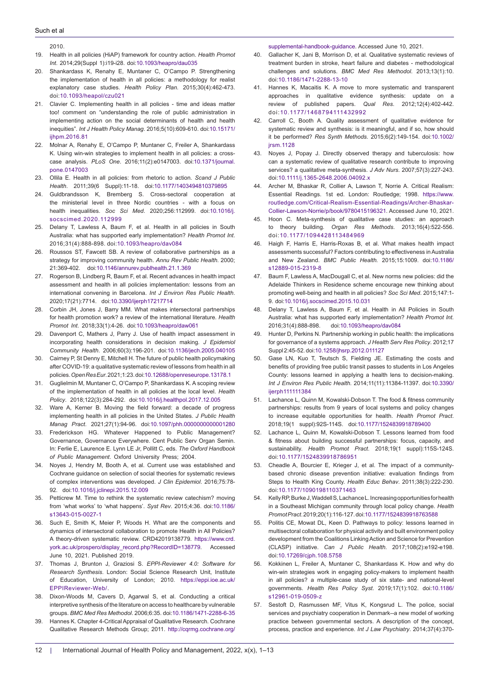#### Such et al

2010.

- 19. Health in all policies (HiAP) framework for country action. *Health Promot Int*. 2014;29(Suppl 1):i19-i28. doi:[10.1093/heapro/dau035](https://doi.org/10.1093/heapro/dau035)
- 20. Shankardass K, Renahy E, Muntaner C, O'Campo P. Strengthening the implementation of health in all policies: a methodology for realist explanatory case studies. *Health Policy Plan*. 2015;30(4):462-473. doi:[10.1093/heapol/czu021](https://doi.org/10.1093/heapol/czu021)
- 21. Clavier C. Implementing health in all policies time and ideas matter too! comment on "understanding the role of public administration in implementing action on the social determinants of health and health inequities". *Int J Health Policy Manag*. 2016;5(10):609-610. doi[:10.15171/](https://doi.org/10.15171/ijhpm.2016.81) [ijhpm.2016.81](https://doi.org/10.15171/ijhpm.2016.81)
- 22. Molnar A, Renahy E, O'Campo P, Muntaner C, Freiler A, Shankardass K. Using win-win strategies to implement health in all policies: a crosscase analysis. *PLoS One*. 2016;11(2):e0147003. doi[:10.1371/journal.](https://doi.org/10.1371/journal.pone.0147003) [pone.0147003](https://doi.org/10.1371/journal.pone.0147003)
- 23. Ollila E. Health in all policies: from rhetoric to action. *Scand J Public Health*. 2011;39(6 Suppl):11-18. doi:[10.1177/1403494810379895](https://doi.org/10.1177/1403494810379895)
- 24. Guldbrandsson K, Bremberg S. Cross-sectoral cooperation at the ministerial level in three Nordic countries - with a focus on health inequalities. *Soc Sci Med*. 2020;256:112999. doi:[10.1016/j.](https://doi.org/10.1016/j.socscimed.2020.112999) [socscimed.2020.112999](https://doi.org/10.1016/j.socscimed.2020.112999)
- 25. Delany T, Lawless A, Baum F, et al. Health in all policies in South Australia: what has supported early implementation? *Health Promot Int*. 2016;31(4):888-898. doi:[10.1093/heapro/dav084](https://doi.org/10.1093/heapro/dav084)
- 26. Roussos ST, Fawcett SB. A review of collaborative partnerships as a strategy for improving community health. *Annu Rev Public Health*. 2000; 21:369-402. doi:[10.1146/annurev.publhealth.21.1.369](https://doi.org/10.1146/annurev.publhealth.21.1.369)
- 27. Rogerson B, Lindberg R, Baum F, et al. Recent advances in health impact assessment and health in all policies implementation: lessons from an international convening in Barcelona. *Int J Environ Res Public Health*. 2020;17(21):7714. doi:[10.3390/ijerph17217714](https://doi.org/10.3390/ijerph17217714)
- 28. Corbin JH, Jones J, Barry MM. What makes intersectoral partnerships for health promotion work? a review of the international literature. *Health Promot Int*. 2018;33(1):4-26. doi[:10.1093/heapro/daw061](https://doi.org/10.1093/heapro/daw061)
- 29. Davenport C, Mathers J, Parry J. Use of health impact assessment in incorporating health considerations in decision making. *J Epidemiol Community Health*. 2006;60(3):196-201. doi:[10.1136/jech.2005.040105](https://doi.org/10.1136/jech.2005.040105)
- 30. Cairney P, St Denny E, Mitchell H. The future of public health policymaking after COVID-19: a qualitative systematic review of lessons from health in all policies. *Open Res Eur*. 2021;1:23. doi[:10.12688/openreseurope.13178.1](https://doi.org/10.12688/openreseurope.13178.1)
- 31. Guglielmin M, Muntaner C, O'Campo P, Shankardass K. A scoping review of the implementation of health in all policies at the local level. *Health Policy*. 2018;122(3):284-292. doi[:10.1016/j.healthpol.2017.12.005](https://doi.org/10.1016/j.healthpol.2017.12.005)
- Ware A, Kerner B. Moving the field forward: a decade of progress implementing health in all policies in the United States. *J Public Health Manag Pract*. 2021;27(1):94-96. doi[:10.1097/phh.0000000000001280](https://doi.org/10.1097/phh.0000000000001280)
- 33. Frederickson HG. Whatever Happened to Public Management? Governance, Governance Everywhere. Cent Public Serv Organ Semin. In: Ferlie E, Laurence E. Lynn LE Jr, Pollitt C, eds. *The Oxford Handbook of Public Management*. Oxford University Press; 2004.
- 34. Noyes J, Hendry M, Booth A, et al. Current use was established and Cochrane guidance on selection of social theories for systematic reviews of complex interventions was developed. *J Clin Epidemiol*. 2016;75:78- 92. doi[:10.1016/j.jclinepi.2015.12.009](https://doi.org/10.1016/j.jclinepi.2015.12.009)
- 35. Petticrew M. Time to rethink the systematic review catechism? moving from 'what works' to 'what happens'. *Syst Rev*. 2015;4:36. doi:[10.1186/](https://doi.org/10.1186/s13643-015-0027-1) [s13643-015-0027-1](https://doi.org/10.1186/s13643-015-0027-1)
- Such E, Smith K, Meier P, Woods H. What are the components and dynamics of intersectoral collaboration to promote Health in All Policies? A theory-driven systematic review. CRD42019138779. [https://www.crd.](https://www.crd.york.ac.uk/prospero/display_record.php?RecordID=138779) [york.ac.uk/prospero/display\\_record.php?RecordID=138779.](https://www.crd.york.ac.uk/prospero/display_record.php?RecordID=138779) Accessed June 10, 2021. Published 2019.
- 37. Thomas J, Brunton J, Graziosi S. *EPPI-Reviewer 4.0: Software for Research Synthesis*. London: Social Science Research Unit, Institute of Education, University of London; 2010. [https://eppi.ioe.ac.uk/](https://eppi.ioe.ac.uk/EPPIReviewer-Web/) [EPPIReviewer-Web/.](https://eppi.ioe.ac.uk/EPPIReviewer-Web/)
- Dixon-Woods M, Cavers D, Agarwal S, et al. Conducting a critical interpretive synthesis of the literature on access to healthcare by vulnerable groups. *BMC Med Res Methodol*. 2006;6:35. doi:[10.1186/1471-2288-6-35](https://doi.org/10.1186/1471-2288-6-35)
- 39. Hannes K. Chapter 4-Critical Appraisal of Qualitative Research. Cochrane Qualitative Research Methods Group; 2011. [http://cqrmg.cochrane.org/](http://cqrmg.cochrane.org/supplemental-handbook-guidance)

[supplemental-handbook-guidance](http://cqrmg.cochrane.org/supplemental-handbook-guidance). Accessed June 10, 2021.

- 40. Gallacher K, Jani B, Morrison D, et al. Qualitative systematic reviews of treatment burden in stroke, heart failure and diabetes - methodological challenges and solutions. *BMC Med Res Methodol*. 2013;13(1):10. doi:[10.1186/1471-2288-13-10](https://doi.org/10.1186/1471-2288-13-10)
- 41. Hannes K, Macaitis K. A move to more systematic and transparent approaches in qualitative evidence synthesis: update on a review of published papers. *Qual Res*. 2012;12(4):402-442. doi:[10.1177/1468794111432992](https://doi.org/10.1177/1468794111432992)
- 42. Carroll C, Booth A. Quality assessment of qualitative evidence for systematic review and synthesis: is it meaningful, and if so, how should it be performed? *Res Synth Methods*. 2015;6(2):149-154. doi:[10.1002/](https://doi.org/10.1002/jrsm.1128) [jrsm.1128](https://doi.org/10.1002/jrsm.1128)
- 43. Noyes J, Popay J. Directly observed therapy and tuberculosis: how can a systematic review of qualitative research contribute to improving services? a qualitative meta-synthesis. *J Adv Nurs*. 2007;57(3):227-243. doi:[10.1111/j.1365-2648.2006.04092.x](https://doi.org/10.1111/j.1365-2648.2006.04092.x)
- 44. Archer M, Bhaskar R, Collier A, Lawson T, Norrie A. Critical Realism: Essential Readings. 1st ed. London: Routledge; 1998. https://www. routledge.com/Critical-Realism-Essential-Readings/Archer-Bhaskar-Collier-Lawson-Norrie/p/book/9780415196321. Accessed June 10, 2021.
- 45. Hoon C. Meta-synthesis of qualitative case studies: an approach to theory building. *Organ Res Methods*. 2013;16(4):522-556. doi:[10.1177/1094428113484969](https://doi.org/10.1177/1094428113484969)
- 46. Haigh F, Harris E, Harris-Roxas B, et al. What makes health impact assessments successful? Factors contributing to effectiveness in Australia and New Zealand. *BMC Public Health.* 2015;15:1009. doi[:10.1186/](https://doi.org/10.1186/s12889-015-2319-8) [s12889-015-2319-8](https://doi.org/10.1186/s12889-015-2319-8)
- 47. Baum F, Lawless A, MacDougall C, et al. New norms new policies: did the Adelaide Thinkers in Residence scheme encourage new thinking about promoting well-being and health in all policies? *Soc Sci Med*. 2015;147:1- 9. doi[:10.1016/j.socscimed.2015.10.031](https://doi.org/10.1016/j.socscimed.2015.10.031)
- 48. Delany T, Lawless A, Baum F, et al. Health in All Policies in South Australia: what has supported early implementation? *Health Promot Int.*  2016;31(4):888-898. doi[:10.1093/heapro/dav084](https://doi.org/10.1093/heapro/dav084)
- 49. Hunter D, Perkins N. Partnership working in public health: the implications for governance of a systems approach. *J Health Serv Res Policy*. 2012;17 Suppl 2:45-52. doi:[10.1258/jhsrp.2012.011127](https://doi.org/10.1258/jhsrp.2012.011127)
- 50. Gase LN, Kuo T, Teutsch S, Fielding JE. Estimating the costs and benefits of providing free public transit passes to students in Los Angeles County: lessons learned in applying a health lens to decision-making. *Int J Environ Res Public Health*. 2014;11(11):11384-11397. doi:10.3390/ ijerph111111384
- 51. Lachance L, Quinn M, Kowalski-Dobson T. The food & fitness community partnerships: results from 9 years of local systems and policy changes to increase equitable opportunities for health. *Health Promot Pract*. 2018;19(1 suppl):92S-114S. doi:[10.1177/1524839918789400](https://doi.org/10.1177/1524839918789400)
- 52. Lachance L, Quinn M, Kowalski-Dobson T. Lessons learned from food & fitness about building successful partnerships: focus, capacity, and sustainability. *Health Promot Pract*. 2018;19(1 suppl):115S-124S. doi[:10.1177/1524839918786951](https://doi.org/10.1177/1524839918786951)
- 53. Cheadle A, Bourcier E, Krieger J, et al. The impact of a communitybased chronic disease prevention initiative: evaluation findings from Steps to Health King County. *Health Educ Behav*. 2011;38(3):222-230. doi:[10.1177/1090198110371463](https://doi.org/10.1177/1090198110371463)
- 54. Kelly RP, Burke J, Waddell S, Lachance L. Increasing opportunities for health in a Southeast Michigan community through local policy change. *Health Promot Pract*. 2019;20(1):116-127. doi[:10.1177/1524839918763588](https://doi.org/10.1177/1524839918763588)
- 55. Politis CE, Mowat DL, Keen D. Pathways to policy: lessons learned in multisectoral collaboration for physical activity and built environment policy development from the Coalitions Linking Action and Science for Prevention (CLASP) initiative. *Can J Public Health*. 2017;108(2):e192-e198. doi:[10.17269/cjph.108.5758](https://doi.org/10.17269/cjph.108.5758)
- 56. Kokkinen L, Freiler A, Muntaner C, Shankardass K. How and why do win-win strategies work in engaging policy-makers to implement health in all policies? a multiple-case study of six state- and national-level governments. *Health Res Policy Syst*. 2019;17(1):102. doi[:10.1186/](https://doi.org/10.1186/s12961-019-0509-z) [s12961-019-0509-z](https://doi.org/10.1186/s12961-019-0509-z)
- 57. Sestoft D, Rasmussen MF, Vitus K, Kongsrud L. The police, social services and psychiatry cooperation in Denmark--a new model of working practice between governmental sectors. A description of the concept, process, practice and experience. *Int J Law Psychiatry*. 2014;37(4):370-